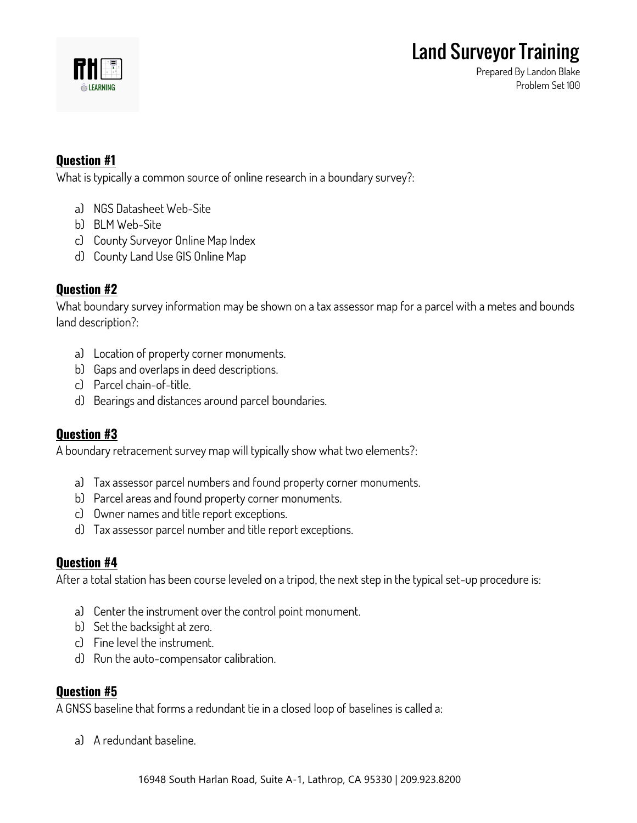

**Prepared By Landon Blake Problem Set 100**

## **Question #1**

**What is typically a common source of online research in a boundary survey?:**

- **a) NGS Datasheet Web-Site**
- **b) BLM Web-Site**
- **c) County Surveyor Online Map Index**
- **d) County Land Use GIS Online Map**

# **Question #2**

**What boundary survey information may be shown on a tax assessor map for a parcel with a metes and bounds land description?:**

- **a) Location of property corner monuments.**
- **b) Gaps and overlaps in deed descriptions.**
- **c) Parcel chain-of-title.**
- **d) Bearings and distances around parcel boundaries.**

## **Question #3**

**A boundary retracement survey map will typically show what two elements?:**

- **a) Tax assessor parcel numbers and found property corner monuments.**
- **b) Parcel areas and found property corner monuments.**
- **c) Owner names and title report exceptions.**
- **d) Tax assessor parcel number and title report exceptions.**

## **Question #4**

**After a total station has been course leveled on a tripod, the next step in the typical set-up procedure is:**

- **a) Center the instrument over the control point monument.**
- **b) Set the backsight at zero.**
- **c) Fine level the instrument.**
- **d) Run the auto-compensator calibration.**

## **Question #5**

**A GNSS baseline that forms a redundant tie in a closed loop of baselines is called a:**

**a) A redundant baseline.**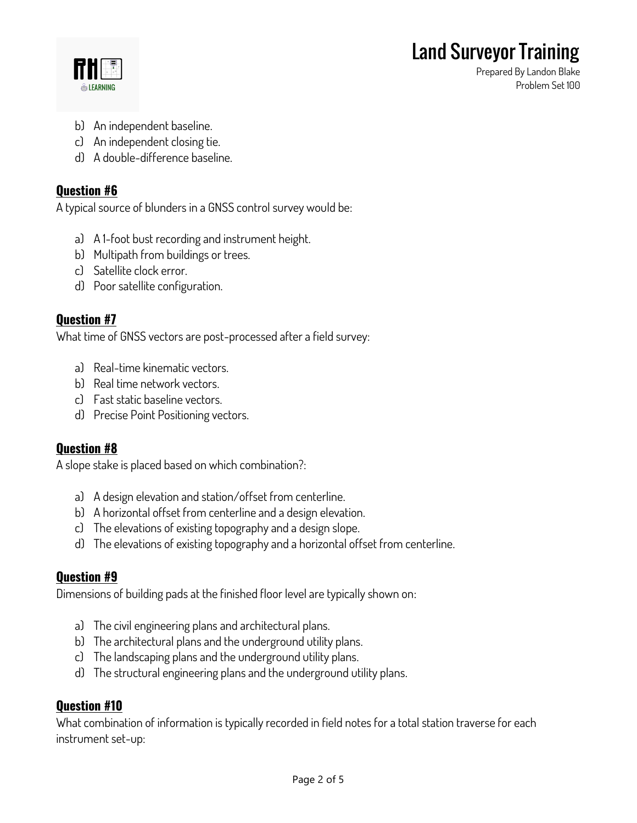

**Prepared By Landon Blake Problem Set 100**

- **b) An independent baseline.**
- **c) An independent closing tie.**
- **d) A double-difference baseline.**

# **Question #6**

**A typical source of blunders in a GNSS control survey would be:**

- **a) A 1-foot bust recording and instrument height.**
- **b) Multipath from buildings or trees.**
- **c) Satellite clock error.**
- **d) Poor satellite configuration.**

# **Question #7**

**What time of GNSS vectors are post-processed after a field survey:**

- **a) Real-time kinematic vectors.**
- **b) Real time network vectors.**
- **c) Fast static baseline vectors.**
- **d) Precise Point Positioning vectors.**

## **Question #8**

**A slope stake is placed based on which combination?:**

- **a) A design elevation and station/offset from centerline.**
- **b) A horizontal offset from centerline and a design elevation.**
- **c) The elevations of existing topography and a design slope.**
- **d) The elevations of existing topography and a horizontal offset from centerline.**

## **Question #9**

**Dimensions of building pads at the finished floor level are typically shown on:**

- **a) The civil engineering plans and architectural plans.**
- **b) The architectural plans and the underground utility plans.**
- **c) The landscaping plans and the underground utility plans.**
- **d) The structural engineering plans and the underground utility plans.**

## **Question #10**

**What combination of information is typically recorded in field notes for a total station traverse for each instrument set-up:**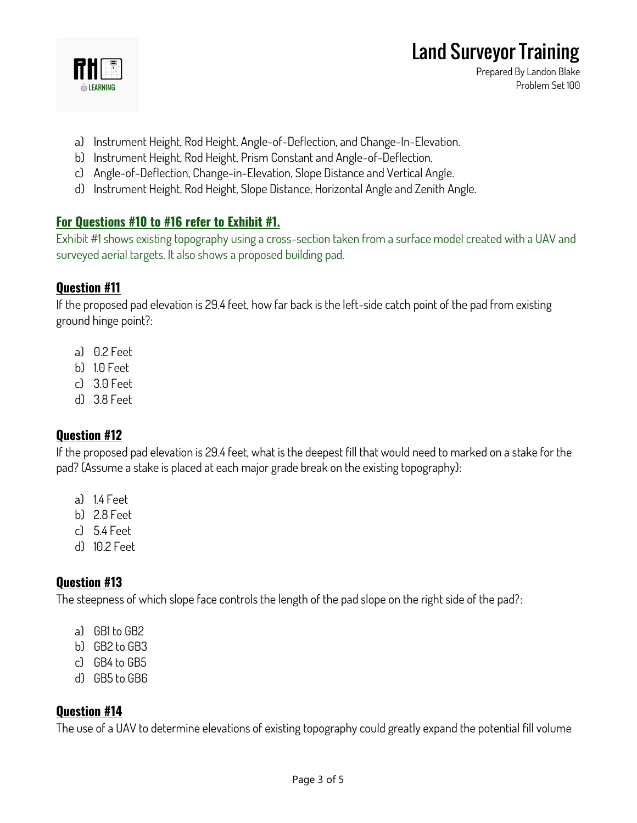

**Prepared By Landon Blake Problem Set 100**

- **a) Instrument Height, Rod Height, Angle-of-Deflection, and Change-In-Elevation.**
- **b) Instrument Height, Rod Height, Prism Constant and Angle-of-Deflection.**
- **c) Angle-of-Deflection, Change-in-Elevation, Slope Distance and Vertical Angle.**
- **d) Instrument Height, Rod Height, Slope Distance, Horizontal Angle and Zenith Angle.**

# **For Questions #10 to #16 refer to Exhibit #1.**

**Exhibit #1 shows existing topography using a cross-section taken from a surface model created with a UAV and surveyed aerial targets. It also shows a proposed building pad.**

# **Question #11**

**If the proposed pad elevation is 29.4 feet, how far back is the left-side catch point of the pad from existing ground hinge point?:**

- **a) 0.2 Feet**
- **b) 1.0 Feet**
- **c) 3.0 Feet**
- **d) 3.8 Feet**

# **Question #12**

**If the proposed pad elevation is 29.4 feet, what is the deepest fill that would need to marked on a stake for the pad? (Assume a stake is placed at each major grade break on the existing topography):**

- **a) 1.4 Feet**
- **b) 2.8 Feet**
- **c) 5.4 Feet**
- **d) 10.2 Feet**

# **Question #13**

**The steepness of which slope face controls the length of the pad slope on the right side of the pad?:**

- **a) GB1 to GB2**
- **b) GB2 to GB3**
- **c) GB4 to GB5**
- **d) GB5 to GB6**

# **Question #14**

**The use of a UAV to determine elevations of existing topography could greatly expand the potential fill volume**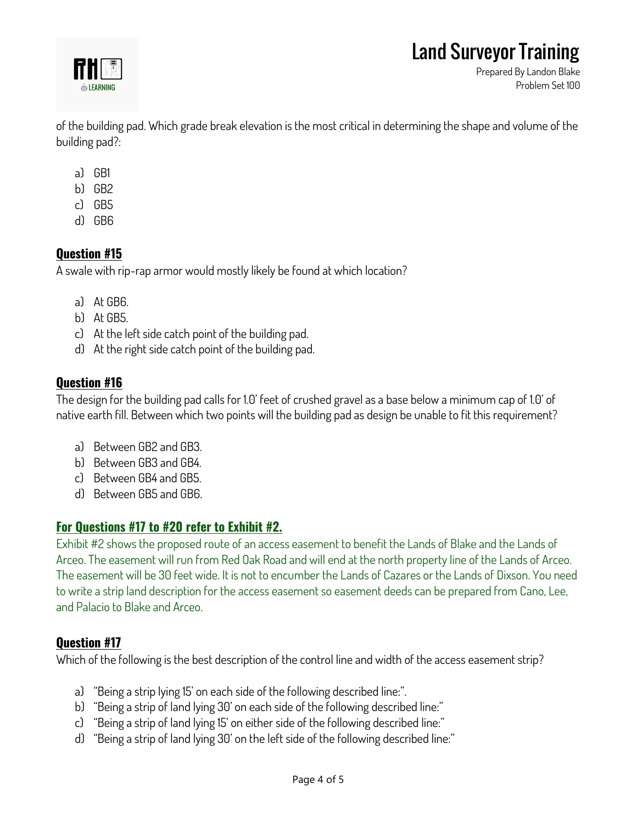

**Prepared By Landon Blake Problem Set 100**

**of the building pad. Which grade break elevation is the most critical in determining the shape and volume of the building pad?:**

- **a) GB1**
- **b) GB2**
- **c) GB5**
- **d) GB6**

# **Question #15**

**A swale with rip-rap armor would mostly likely be found at which location?**

- **a) At GB6.**
- **b) At GB5.**
- **c) At the left side catch point of the building pad.**
- **d) At the right side catch point of the building pad.**

# **Question #16**

**The design for the building pad calls for 1.0' feet of crushed gravel as a base below a minimum cap of 1.0' of native earth fill. Between which two points will the building pad as design be unable to fit this requirement?**

- **a) Between GB2 and GB3.**
- **b) Between GB3 and GB4.**
- **c) Between GB4 and GB5.**
- **d) Between GB5 and GB6.**

# **For Questions #17 to #20 refer to Exhibit #2.**

**Exhibit #2 shows the proposed route of an access easement to benefit the Lands of Blake and the Lands of Arceo. The easement will run from Red Oak Road and will end at the north property line of the Lands of Arceo. The easement will be 30 feet wide. It is not to encumber the Lands of Cazares or the Lands of Dixson. You need to write a strip land description for the access easement so easement deeds can be prepared from Cano, Lee, and Palacio to Blake and Arceo.**

# **Question #17**

**Which of the following is the best description of the control line and width of the access easement strip?**

- **a) "Being a strip lying 15' on each side of the following described line:".**
- **b) "Being a strip of land lying 30' on each side of the following described line:"**
- **c) "Being a strip of land lying 15' on either side of the following described line:"**
- **d) "Being a strip of land lying 30' on the left side of the following described line:"**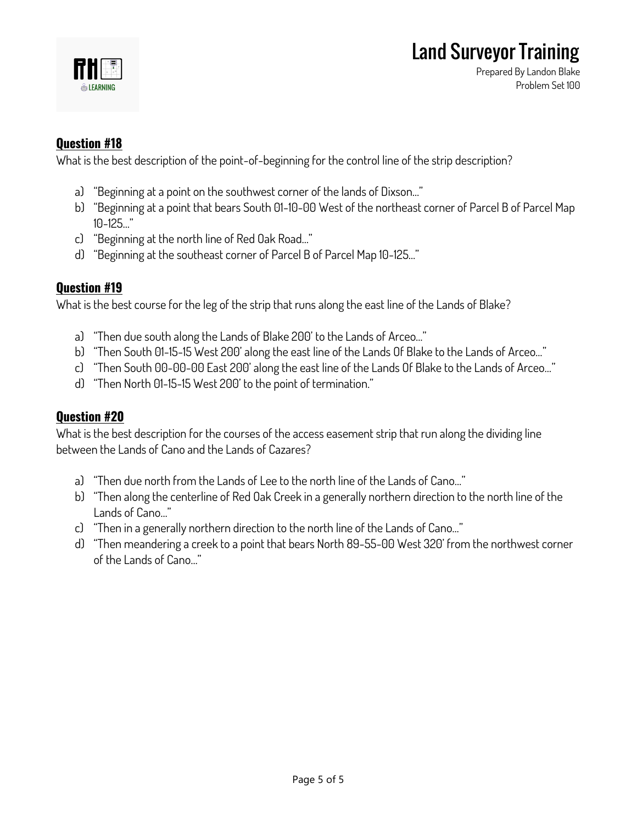

**Prepared By Landon Blake Problem Set 100**

# **Question #18**

**What is the best description of the point-of-beginning for the control line of the strip description?**

- **a) "Beginning at a point on the southwest corner of the lands of Dixson…"**
- **b) "Beginning at a point that bears South 01-10-00 West of the northeast corner of Parcel B of Parcel Map 10-125…"**
- **c) "Beginning at the north line of Red Oak Road…"**
- **d) "Beginning at the southeast corner of Parcel B of Parcel Map 10-125…"**

# **Question #19**

**What is the best course for the leg of the strip that runs along the east line of the Lands of Blake?**

- **a) "Then due south along the Lands of Blake 200' to the Lands of Arceo…"**
- **b) "Then South 01-15-15 West 200' along the east line of the Lands Of Blake to the Lands of Arceo…"**
- **c) "Then South 00-00-00 East 200' along the east line of the Lands Of Blake to the Lands of Arceo…"**
- **d) "Then North 01-15-15 West 200' to the point of termination."**

## **Question #20**

**What is the best description for the courses of the access easement strip that run along the dividing line between the Lands of Cano and the Lands of Cazares?**

- **a) "Then due north from the Lands of Lee to the north line of the Lands of Cano…"**
- **b) "Then along the centerline of Red Oak Creek in a generally northern direction to the north line of the Lands of Cano…"**
- **c) "Then in a generally northern direction to the north line of the Lands of Cano…"**
- **d) "Then meandering a creek to a point that bears North 89-55-00 West 320' from the northwest corner of the Lands of Cano…"**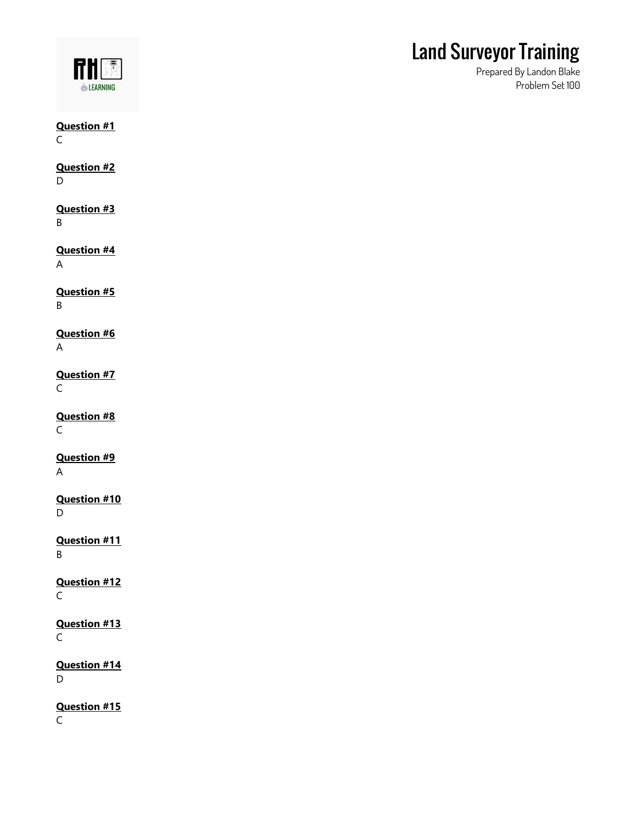

**Prepared By Landon Blake Problem Set 100**

**Question #1** C

**Question #2** D

**Question #3** B

**Question #4** A

**Question #5** B

**Question #6** A

**Question #7** C

**Question #8** C

**Question #9** A

**Question #10** D

**Question #11** B

**Question #12** C

**Question #13**  $\mathsf C$ 

**Question #14** D

**Question #15** C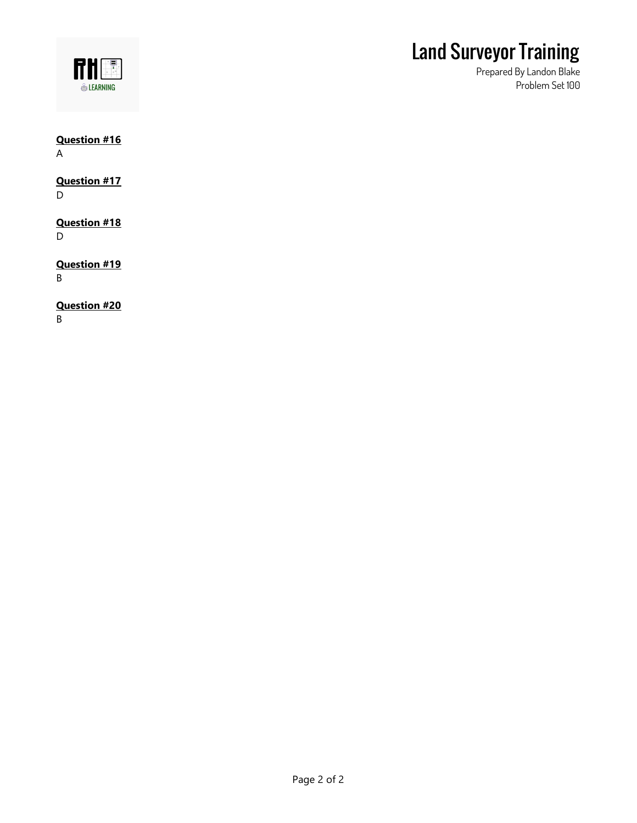

**Prepared By Landon Blake Problem Set 100**

### **Question #16** A

# **Question #17**

D

#### **Question #18** D

**Question #19** B

# **Question #20**

B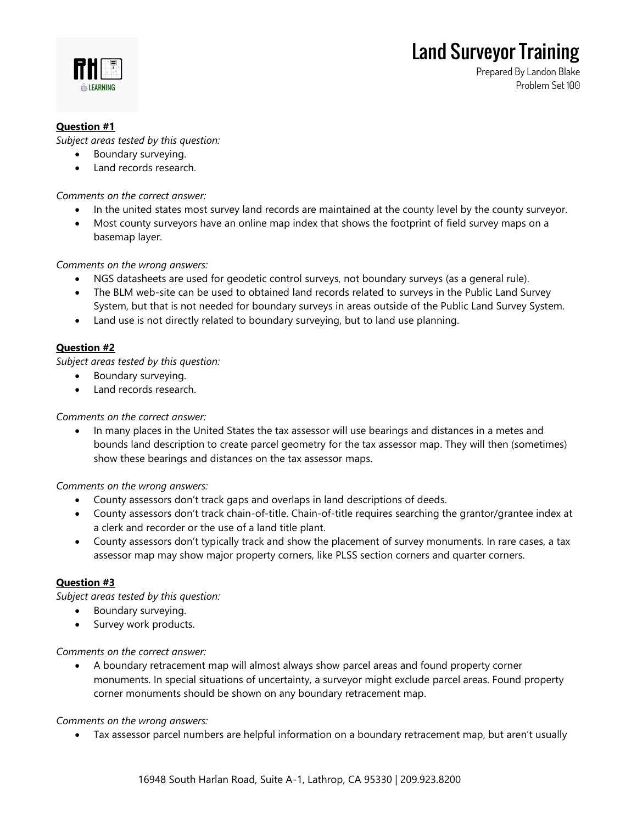

**Prepared By Landon Blake Problem Set 100**

### **Question #1**

*Subject areas tested by this question:*

- Boundary surveying.
- Land records research.

*Comments on the correct answer:*

- In the united states most survey land records are maintained at the county level by the county surveyor.
- Most county surveyors have an online map index that shows the footprint of field survey maps on a basemap layer.

*Comments on the wrong answers:*

- NGS datasheets are used for geodetic control surveys, not boundary surveys (as a general rule).
- The BLM web-site can be used to obtained land records related to surveys in the Public Land Survey System, but that is not needed for boundary surveys in areas outside of the Public Land Survey System.
- Land use is not directly related to boundary surveying, but to land use planning.

### **Question #2**

*Subject areas tested by this question:*

- Boundary surveying.
- Land records research.

*Comments on the correct answer:*

• In many places in the United States the tax assessor will use bearings and distances in a metes and bounds land description to create parcel geometry for the tax assessor map. They will then (sometimes) show these bearings and distances on the tax assessor maps.

*Comments on the wrong answers:*

- County assessors don't track gaps and overlaps in land descriptions of deeds.
- County assessors don't track chain-of-title. Chain-of-title requires searching the grantor/grantee index at a clerk and recorder or the use of a land title plant.
- County assessors don't typically track and show the placement of survey monuments. In rare cases, a tax assessor map may show major property corners, like PLSS section corners and quarter corners.

### **Question #3**

*Subject areas tested by this question:*

- Boundary surveying.
- Survey work products.

*Comments on the correct answer:*

• A boundary retracement map will almost always show parcel areas and found property corner monuments. In special situations of uncertainty, a surveyor might exclude parcel areas. Found property corner monuments should be shown on any boundary retracement map.

*Comments on the wrong answers:*

• Tax assessor parcel numbers are helpful information on a boundary retracement map, but aren't usually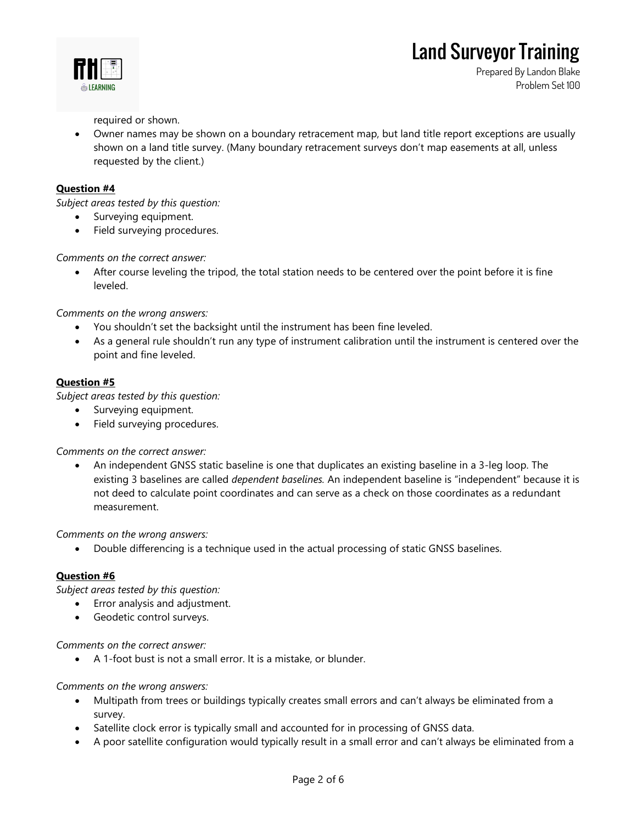

**Prepared By Landon Blake Problem Set 100**

required or shown.

• Owner names may be shown on a boundary retracement map, but land title report exceptions are usually shown on a land title survey. (Many boundary retracement surveys don't map easements at all, unless requested by the client.)

### **Question #4**

*Subject areas tested by this question:*

- Surveying equipment.
- Field surveying procedures.

### *Comments on the correct answer:*

After course leveling the tripod, the total station needs to be centered over the point before it is fine leveled.

*Comments on the wrong answers:*

- You shouldn't set the backsight until the instrument has been fine leveled.
- As a general rule shouldn't run any type of instrument calibration until the instrument is centered over the point and fine leveled.

### **Question #5**

*Subject areas tested by this question:*

- Surveying equipment.
- Field surveying procedures.

*Comments on the correct answer:*

• An independent GNSS static baseline is one that duplicates an existing baseline in a 3-leg loop. The existing 3 baselines are called *dependent baselines.* An independent baseline is "independent" because it is not deed to calculate point coordinates and can serve as a check on those coordinates as a redundant measurement.

*Comments on the wrong answers:*

• Double differencing is a technique used in the actual processing of static GNSS baselines.

### **Question #6**

*Subject areas tested by this question:*

- Error analysis and adjustment.
- Geodetic control surveys.

### *Comments on the correct answer:*

• A 1-foot bust is not a small error. It is a mistake, or blunder.

*Comments on the wrong answers:*

- Multipath from trees or buildings typically creates small errors and can't always be eliminated from a survey.
- Satellite clock error is typically small and accounted for in processing of GNSS data.
- A poor satellite configuration would typically result in a small error and can't always be eliminated from a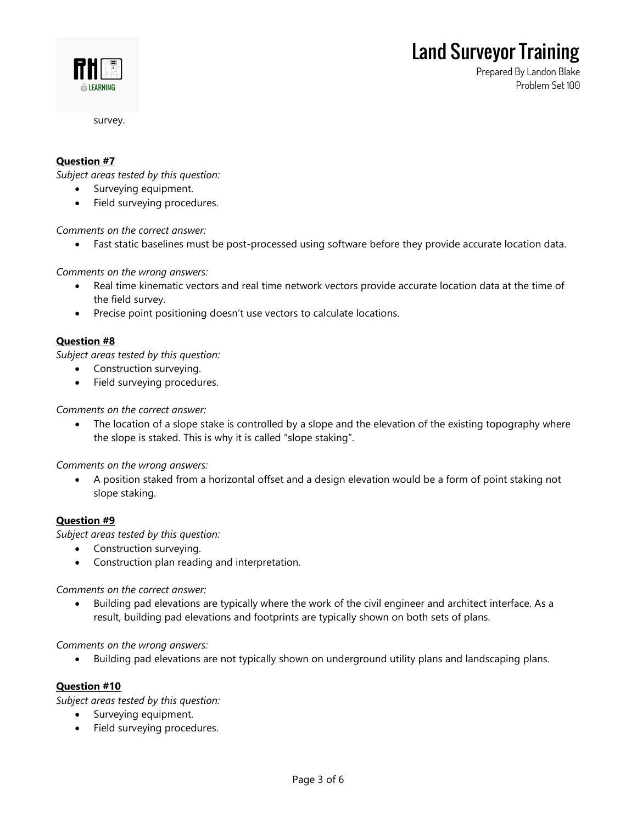**Prepared By Landon Blake**

**Problem Set 100**



survey.

#### **Question #7**

*Subject areas tested by this question:*

- Surveying equipment.
- Field surveying procedures.

*Comments on the correct answer:*

• Fast static baselines must be post-processed using software before they provide accurate location data.

*Comments on the wrong answers:*

- Real time kinematic vectors and real time network vectors provide accurate location data at the time of the field survey.
- Precise point positioning doesn't use vectors to calculate locations.

#### **Question #8**

*Subject areas tested by this question:*

- Construction surveying.
- Field surveying procedures.

*Comments on the correct answer:*

• The location of a slope stake is controlled by a slope and the elevation of the existing topography where the slope is staked. This is why it is called "slope staking".

*Comments on the wrong answers:*

• A position staked from a horizontal offset and a design elevation would be a form of point staking not slope staking.

#### **Question #9**

*Subject areas tested by this question:*

- Construction surveying.
- Construction plan reading and interpretation.

*Comments on the correct answer:*

• Building pad elevations are typically where the work of the civil engineer and architect interface. As a result, building pad elevations and footprints are typically shown on both sets of plans.

#### *Comments on the wrong answers:*

• Building pad elevations are not typically shown on underground utility plans and landscaping plans.

#### **Question #10**

*Subject areas tested by this question:*

- Surveying equipment.
- Field surveying procedures.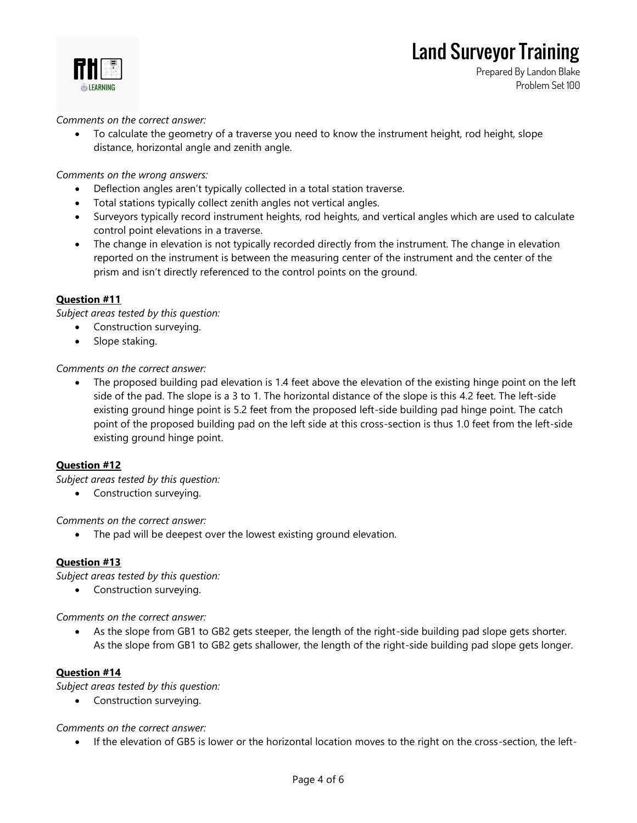

**Prepared By Landon Blake Problem Set 100**

*Comments on the correct answer:*

• To calculate the geometry of a traverse you need to know the instrument height, rod height, slope distance, horizontal angle and zenith angle.

*Comments on the wrong answers:*

- Deflection angles aren't typically collected in a total station traverse.
- Total stations typically collect zenith angles not vertical angles.
- Surveyors typically record instrument heights, rod heights, and vertical angles which are used to calculate control point elevations in a traverse.
- The change in elevation is not typically recorded directly from the instrument. The change in elevation reported on the instrument is between the measuring center of the instrument and the center of the prism and isn't directly referenced to the control points on the ground.

### **Question #11**

*Subject areas tested by this question:*

- Construction surveying.
- Slope staking.

*Comments on the correct answer:*

The proposed building pad elevation is 1.4 feet above the elevation of the existing hinge point on the left side of the pad. The slope is a 3 to 1. The horizontal distance of the slope is this 4.2 feet. The left-side existing ground hinge point is 5.2 feet from the proposed left-side building pad hinge point. The catch point of the proposed building pad on the left side at this cross-section is thus 1.0 feet from the left-side existing ground hinge point.

### **Question #12**

*Subject areas tested by this question:*

• Construction surveying.

*Comments on the correct answer:*

The pad will be deepest over the lowest existing ground elevation.

### **Question #13**

*Subject areas tested by this question:*

• Construction surveying.

*Comments on the correct answer:*

• As the slope from GB1 to GB2 gets steeper, the length of the right-side building pad slope gets shorter. As the slope from GB1 to GB2 gets shallower, the length of the right-side building pad slope gets longer.

### **Question #14**

*Subject areas tested by this question:*

• Construction surveying.

*Comments on the correct answer:*

• If the elevation of GB5 is lower or the horizontal location moves to the right on the cross-section, the left-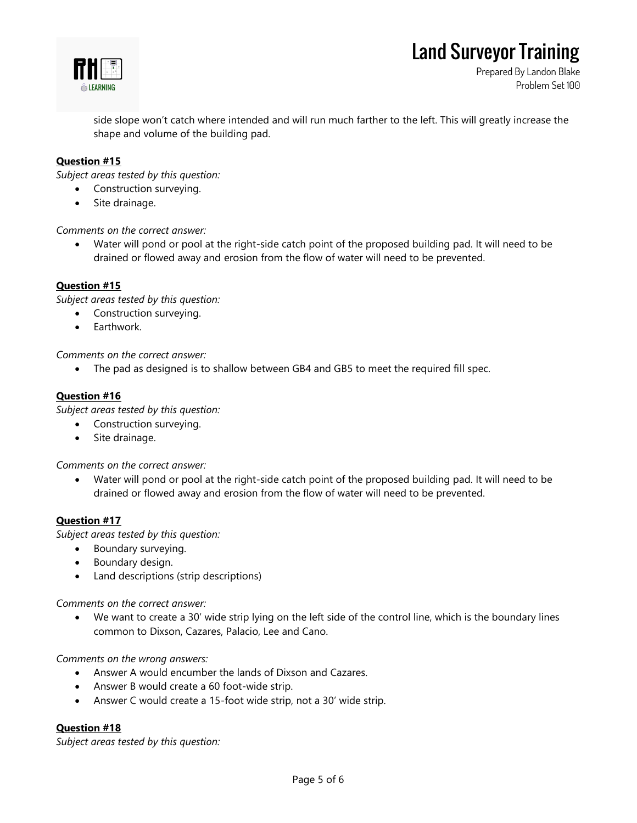

**Prepared By Landon Blake Problem Set 100**

side slope won't catch where intended and will run much farther to the left. This will greatly increase the shape and volume of the building pad.

### **Question #15**

*Subject areas tested by this question:*

- Construction surveying.
- Site drainage.

*Comments on the correct answer:*

• Water will pond or pool at the right-side catch point of the proposed building pad. It will need to be drained or flowed away and erosion from the flow of water will need to be prevented.

### **Question #15**

*Subject areas tested by this question:*

- Construction surveying.
- Earthwork.

*Comments on the correct answer:*

• The pad as designed is to shallow between GB4 and GB5 to meet the required fill spec.

#### **Question #16**

*Subject areas tested by this question:*

- Construction surveying.
- Site drainage.

*Comments on the correct answer:*

• Water will pond or pool at the right-side catch point of the proposed building pad. It will need to be drained or flowed away and erosion from the flow of water will need to be prevented.

#### **Question #17**

*Subject areas tested by this question:*

- Boundary surveying.
- Boundary design.
- Land descriptions (strip descriptions)

*Comments on the correct answer:*

• We want to create a 30' wide strip lying on the left side of the control line, which is the boundary lines common to Dixson, Cazares, Palacio, Lee and Cano.

*Comments on the wrong answers:*

- Answer A would encumber the lands of Dixson and Cazares.
- Answer B would create a 60 foot-wide strip.
- Answer C would create a 15-foot wide strip, not a 30' wide strip.

### **Question #18**

*Subject areas tested by this question:*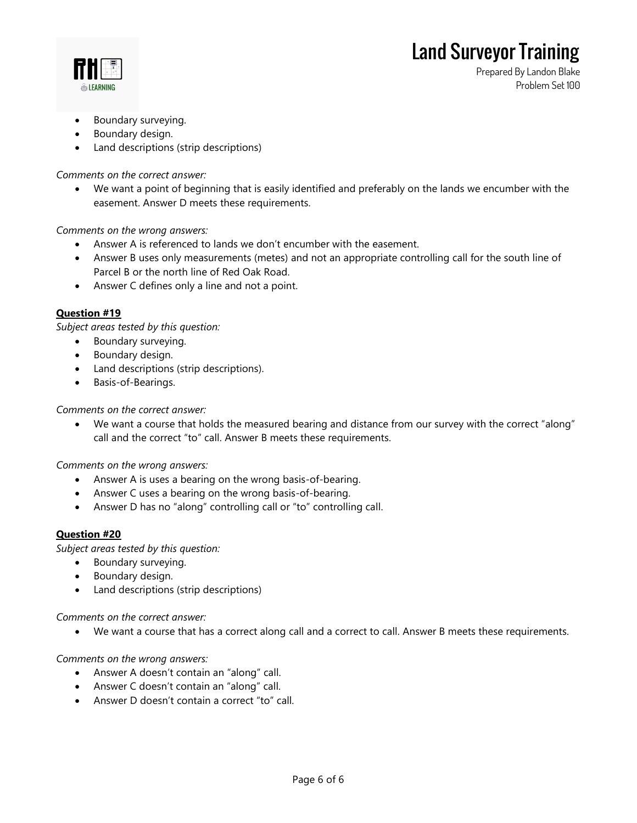

**Prepared By Landon Blake Problem Set 100**

- Boundary surveying.
- Boundary design.
- Land descriptions (strip descriptions)

*Comments on the correct answer:*

• We want a point of beginning that is easily identified and preferably on the lands we encumber with the easement. Answer D meets these requirements.

*Comments on the wrong answers:*

- Answer A is referenced to lands we don't encumber with the easement.
- Answer B uses only measurements (metes) and not an appropriate controlling call for the south line of Parcel B or the north line of Red Oak Road.
- Answer C defines only a line and not a point.

### **Question #19**

*Subject areas tested by this question:*

- Boundary surveying.
- Boundary design.
- Land descriptions (strip descriptions).
- Basis-of-Bearings.

*Comments on the correct answer:*

• We want a course that holds the measured bearing and distance from our survey with the correct "along" call and the correct "to" call. Answer B meets these requirements.

*Comments on the wrong answers:*

- Answer A is uses a bearing on the wrong basis-of-bearing.
- Answer C uses a bearing on the wrong basis-of-bearing.
- Answer D has no "along" controlling call or "to" controlling call.

### **Question #20**

*Subject areas tested by this question:*

- Boundary surveying.
- Boundary design.
- Land descriptions (strip descriptions)

*Comments on the correct answer:*

• We want a course that has a correct along call and a correct to call. Answer B meets these requirements.

*Comments on the wrong answers:*

- Answer A doesn't contain an "along" call.
- Answer C doesn't contain an "along" call.
- Answer D doesn't contain a correct "to" call.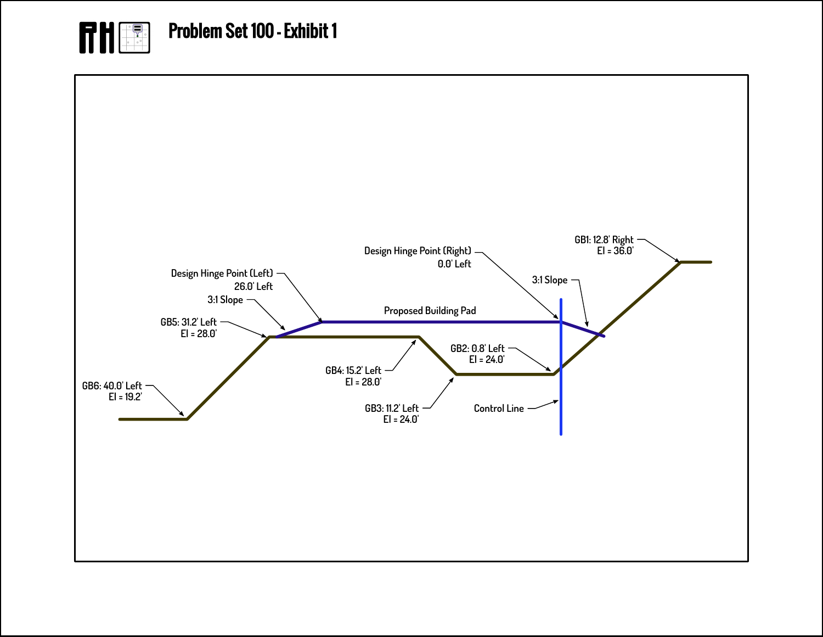